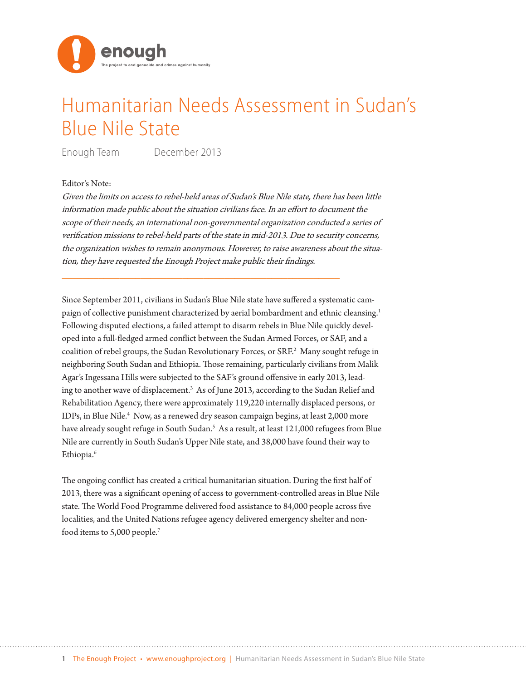

## Humanitarian Needs Assessment in Sudan's Blue Nile State

Enough Team December 2013

## Editor's Note:

Given the limits on access to rebel-held areas of Sudan's Blue Nile state, there has been little information made public about the situation civilians face. In an effort to document the scope of their needs, an international non-governmental organization conducted a series of verification missions to rebel-held parts of the state in mid-2013. Due to security concerns, the organization wishes to remain anonymous. However, to raise awareness about the situation, they have requested the Enough Project make public their findings.

\_\_\_\_\_\_\_\_\_\_\_\_\_\_\_\_\_\_\_\_\_\_\_\_\_\_\_\_\_\_\_\_\_\_\_\_\_\_\_\_\_\_\_\_\_\_\_\_\_\_\_\_\_

Since September 2011, civilians in Sudan's Blue Nile state have suffered a systematic campaign of collective punishment characterized by aerial bombardment and ethnic cleansing.<sup>1</sup> Following disputed elections, a failed attempt to disarm rebels in Blue Nile quickly developed into a full-fledged armed conflict between the Sudan Armed Forces, or SAF, and a coalition of rebel groups, the Sudan Revolutionary Forces, or SRF.<sup>2</sup> Many sought refuge in neighboring South Sudan and Ethiopia. Those remaining, particularly civilians from Malik Agar's Ingessana Hills were subjected to the SAF's ground offensive in early 2013, leading to another wave of displacement.<sup>3</sup> As of June 2013, according to the Sudan Relief and Rehabilitation Agency, there were approximately 119,220 internally displaced persons, or IDPs, in Blue Nile.<sup>4</sup> Now, as a renewed dry season campaign begins, at least 2,000 more have already sought refuge in South Sudan.<sup>5</sup> As a result, at least 121,000 refugees from Blue Nile are currently in South Sudan's Upper Nile state, and 38,000 have found their way to Ethiopia.<sup>6</sup>

The ongoing conflict has created a critical humanitarian situation. During the first half of 2013, there was a significant opening of access to government-controlled areas in Blue Nile state. The World Food Programme delivered food assistance to 84,000 people across five localities, and the United Nations refugee agency delivered emergency shelter and nonfood items to 5,000 people.7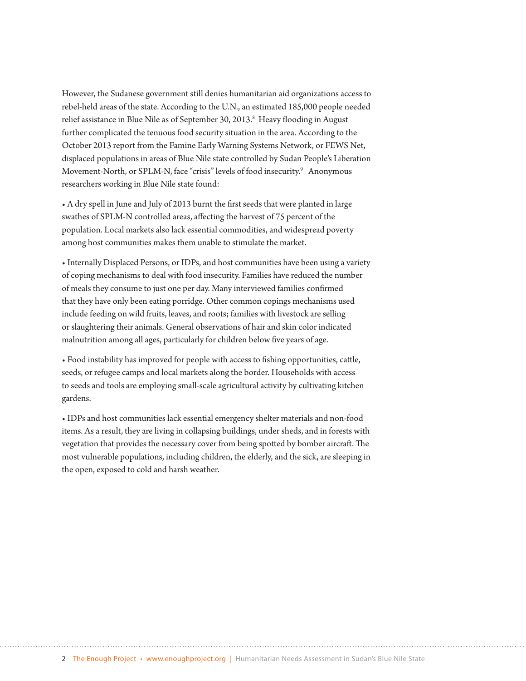However, the Sudanese government still denies humanitarian aid organizations access to rebel-held areas of the state. According to the U.N., an estimated 185,000 people needed relief assistance in Blue Nile as of September 30, 2013.<sup>8</sup> Heavy flooding in August further complicated the tenuous food security situation in the area. According to the October 2013 report from the Famine Early Warning Systems Network, or FEWS Net, displaced populations in areas of Blue Nile state controlled by Sudan People's Liberation Movement-North, or SPLM-N, face "crisis" levels of food insecurity.9 Anonymous researchers working in Blue Nile state found:

• A dry spell in June and July of 2013 burnt the first seeds that were planted in large swathes of SPLM-N controlled areas, affecting the harvest of 75 percent of the population. Local markets also lack essential commodities, and widespread poverty among host communities makes them unable to stimulate the market.

• Internally Displaced Persons, or IDPs, and host communities have been using a variety of coping mechanisms to deal with food insecurity. Families have reduced the number of meals they consume to just one per day. Many interviewed families confirmed that they have only been eating porridge. Other common copings mechanisms used include feeding on wild fruits, leaves, and roots; families with livestock are selling or slaughtering their animals. General observations of hair and skin color indicated malnutrition among all ages, particularly for children below five years of age.

• Food instability has improved for people with access to fishing opportunities, cattle, seeds, or refugee camps and local markets along the border. Households with access to seeds and tools are employing small-scale agricultural activity by cultivating kitchen gardens.

• IDPs and host communities lack essential emergency shelter materials and non-food items. As a result, they are living in collapsing buildings, under sheds, and in forests with vegetation that provides the necessary cover from being spotted by bomber aircraft. The most vulnerable populations, including children, the elderly, and the sick, are sleeping in the open, exposed to cold and harsh weather.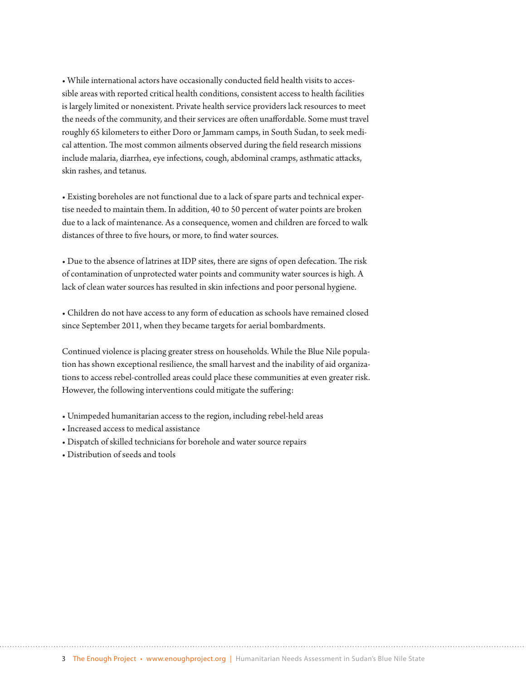• While international actors have occasionally conducted field health visits to accessible areas with reported critical health conditions, consistent access to health facilities is largely limited or nonexistent. Private health service providers lack resources to meet the needs of the community, and their services are often unaffordable. Some must travel roughly 65 kilometers to either Doro or Jammam camps, in South Sudan, to seek medical attention. The most common ailments observed during the field research missions include malaria, diarrhea, eye infections, cough, abdominal cramps, asthmatic attacks, skin rashes, and tetanus.

• Existing boreholes are not functional due to a lack of spare parts and technical expertise needed to maintain them. In addition, 40 to 50 percent of water points are broken due to a lack of maintenance. As a consequence, women and children are forced to walk distances of three to five hours, or more, to find water sources.

• Due to the absence of latrines at IDP sites, there are signs of open defecation. The risk of contamination of unprotected water points and community water sources is high. A lack of clean water sources has resulted in skin infections and poor personal hygiene.

• Children do not have access to any form of education as schools have remained closed since September 2011, when they became targets for aerial bombardments.

Continued violence is placing greater stress on households. While the Blue Nile population has shown exceptional resilience, the small harvest and the inability of aid organizations to access rebel-controlled areas could place these communities at even greater risk. However, the following interventions could mitigate the suffering:

- Unimpeded humanitarian access to the region, including rebel-held areas
- Increased access to medical assistance
- Dispatch of skilled technicians for borehole and water source repairs
- Distribution of seeds and tools